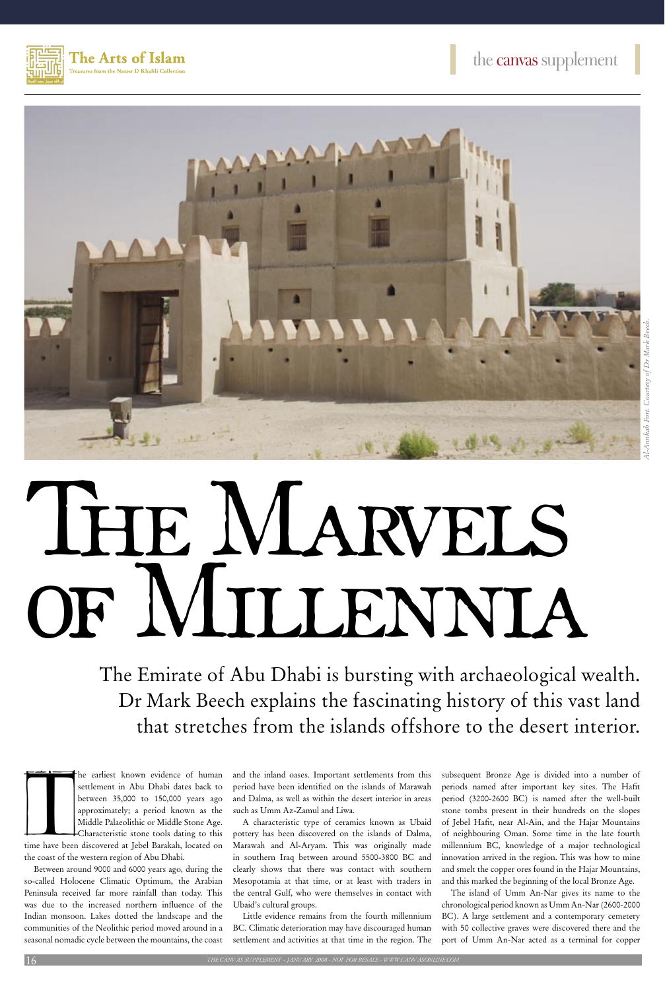



# THE MARVELS of Millennia

The Emirate of Abu Dhabi is bursting with archaeological wealth. Dr Mark Beech explains the fascinating history of this vast land that stretches from the islands offshore to the desert interior.

The earliest known evidence of human<br>settlement in Abu Dhabi dates back to<br>between 35,000 to 150,000 years ago<br>approximately; a period known as the<br>Middle Palaeolithic or Middle Stone Age.<br>Characteristic stone tools dating he earliest known evidence of human settlement in Abu Dhabi dates back to between 35,000 to 150,000 years ago approximately; a period known as the Middle Palaeolithic or Middle Stone Age. Characteristic stone tools dating to this

the coast of the western region of Abu Dhabi.

Between around 9000 and 6000 years ago, during the so-called Holocene Climatic Optimum, the Arabian Peninsula received far more rainfall than today. This was due to the increased northern influence of the Indian monsoon. Lakes dotted the landscape and the communities of the Neolithic period moved around in a seasonal nomadic cycle between the mountains, the coast

and the inland oases. Important settlements from this period have been identified on the islands of Marawah and Dalma, as well as within the desert interior in areas such as Umm Az-Zamul and Liwa.

A characteristic type of ceramics known as Ubaid pottery has been discovered on the islands of Dalma, Marawah and Al-Aryam. This was originally made in southern Iraq between around 5500-3800 BC and clearly shows that there was contact with southern Mesopotamia at that time, or at least with traders in the central Gulf, who were themselves in contact with Ubaid's cultural groups.

Little evidence remains from the fourth millennium BC. Climatic deterioration may have discouraged human settlement and activities at that time in the region. The subsequent Bronze Age is divided into a number of periods named after important key sites. The Hafit period (3200-2600 BC) is named after the well-built stone tombs present in their hundreds on the slopes of Jebel Hafit, near Al-Ain, and the Hajar Mountains of neighbouring Oman. Some time in the late fourth millennium BC, knowledge of a major technological innovation arrived in the region. This was how to mine and smelt the copper ores found in the Hajar Mountains, and this marked the beginning of the local Bronze Age. The island of Umm An-Nar gives its name to the chronological period known as Umm An-Nar (2600-2000 BC). A large settlement and a contemporary cemetery with 50 collective graves were discovered there and the port of Umm An-Nar acted as a terminal for copper

 $16 \,$   $^{\prime\prime}$   $^{\prime\prime}$   $^{\prime\prime}$   $^{\prime\prime}$   $^{\prime\prime}$   $^{\prime\prime}$   $^{\prime\prime}$   $^{\prime\prime}$   $^{\prime\prime}$   $^{\prime\prime}$   $^{\prime\prime}$   $^{\prime\prime}$   $^{\prime\prime}$   $^{\prime\prime}$   $^{\prime\prime}$   $^{\prime\prime}$   $^{\prime\prime}$   $^{\prime\prime}$   $^{\prime\prime}$   $^{\prime\prime}$   $^{\prime\prime}$   $^{\prime\prime}$   $^{\prime\prime}$   $^{\prime\prime}$